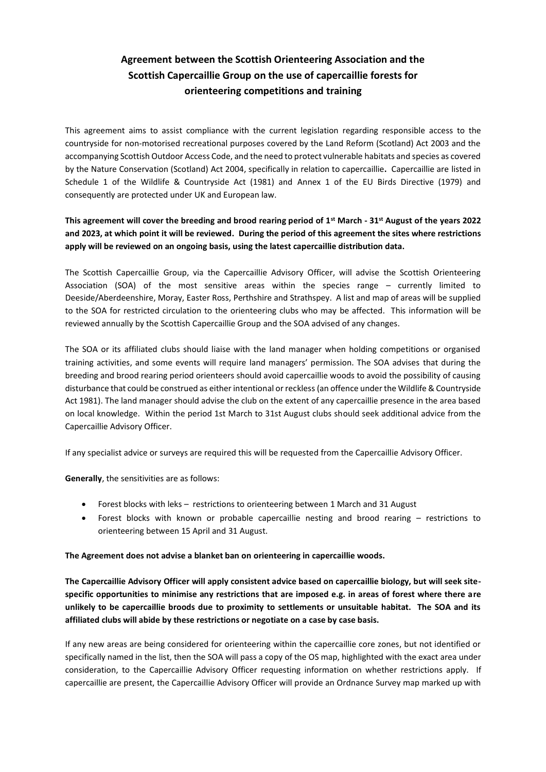## **Agreement between the Scottish Orienteering Association and the Scottish Capercaillie Group on the use of capercaillie forests for orienteering competitions and training**

This agreement aims to assist compliance with the current legislation regarding responsible access to the countryside for non-motorised recreational purposes covered by the Land Reform (Scotland) Act 2003 and the accompanying Scottish Outdoor Access Code, and the need to protect vulnerable habitats and species as covered by the Nature Conservation (Scotland) Act 2004, specifically in relation to capercaillie**.** Capercaillie are listed in Schedule 1 of the Wildlife & Countryside Act (1981) and Annex 1 of the EU Birds Directive (1979) and consequently are protected under UK and European law.

## **This agreement will cover the breeding and brood rearing period of 1st March - 31st August of the years 2022 and 2023, at which point it will be reviewed. During the period of this agreement the sites where restrictions apply will be reviewed on an ongoing basis, using the latest capercaillie distribution data.**

The Scottish Capercaillie Group, via the Capercaillie Advisory Officer, will advise the Scottish Orienteering Association (SOA) of the most sensitive areas within the species range – currently limited to Deeside/Aberdeenshire, Moray, Easter Ross, Perthshire and Strathspey. A list and map of areas will be supplied to the SOA for restricted circulation to the orienteering clubs who may be affected. This information will be reviewed annually by the Scottish Capercaillie Group and the SOA advised of any changes.

The SOA or its affiliated clubs should liaise with the land manager when holding competitions or organised training activities, and some events will require land managers' permission. The SOA advises that during the breeding and brood rearing period orienteers should avoid capercaillie woods to avoid the possibility of causing disturbance that could be construed as either intentional or reckless(an offence under the Wildlife & Countryside Act 1981). The land manager should advise the club on the extent of any capercaillie presence in the area based on local knowledge. Within the period 1st March to 31st August clubs should seek additional advice from the Capercaillie Advisory Officer.

If any specialist advice or surveys are required this will be requested from the Capercaillie Advisory Officer.

**Generally**, the sensitivities are as follows:

- Forest blocks with leks restrictions to orienteering between 1 March and 31 August
- Forest blocks with known or probable capercaillie nesting and brood rearing restrictions to orienteering between 15 April and 31 August.

## **The Agreement does not advise a blanket ban on orienteering in capercaillie woods.**

**The Capercaillie Advisory Officer will apply consistent advice based on capercaillie biology, but will seek sitespecific opportunities to minimise any restrictions that are imposed e.g. in areas of forest where there are unlikely to be capercaillie broods due to proximity to settlements or unsuitable habitat. The SOA and its affiliated clubs will abide by these restrictions or negotiate on a case by case basis.**

If any new areas are being considered for orienteering within the capercaillie core zones, but not identified or specifically named in the list, then the SOA will pass a copy of the OS map, highlighted with the exact area under consideration, to the Capercaillie Advisory Officer requesting information on whether restrictions apply. If capercaillie are present, the Capercaillie Advisory Officer will provide an Ordnance Survey map marked up with